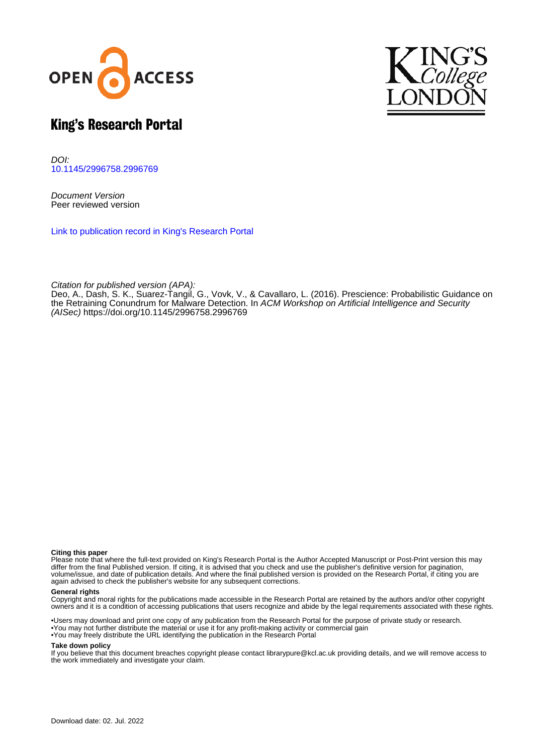



# King's Research Portal

DOI: [10.1145/2996758.2996769](https://doi.org/10.1145/2996758.2996769)

Document Version Peer reviewed version

[Link to publication record in King's Research Portal](https://kclpure.kcl.ac.uk/portal/en/publications/prescience(68340860-8858-46b2-bb9a-9f82b8c7ce72).html)

Citation for published version (APA):

Deo, A., Dash, S. K[., Suarez-Tangil, G.](https://kclpure.kcl.ac.uk/portal/en/persons/guillermo-suarez-de-tangil-rotaeche(b9be786a-6131-433d-a2fe-4b7006ee4e0f).html), Vovk, V[., & Cavallaro, L.](https://kclpure.kcl.ac.uk/portal/en/persons/lorenzo-cavallaro(03bc6371-26c0-4b53-8987-e38fa17b0441).html) (2016). [Prescience: Probabilistic Guidance on](https://kclpure.kcl.ac.uk/portal/en/publications/prescience(68340860-8858-46b2-bb9a-9f82b8c7ce72).html) [the Retraining Conundrum for Malware Detection](https://kclpure.kcl.ac.uk/portal/en/publications/prescience(68340860-8858-46b2-bb9a-9f82b8c7ce72).html). In *ACM Workshop on Artificial Intelligence and Security* (AISec) <https://doi.org/10.1145/2996758.2996769>

#### **Citing this paper**

Please note that where the full-text provided on King's Research Portal is the Author Accepted Manuscript or Post-Print version this may differ from the final Published version. If citing, it is advised that you check and use the publisher's definitive version for pagination, volume/issue, and date of publication details. And where the final published version is provided on the Research Portal, if citing you are again advised to check the publisher's website for any subsequent corrections.

#### **General rights**

Copyright and moral rights for the publications made accessible in the Research Portal are retained by the authors and/or other copyright owners and it is a condition of accessing publications that users recognize and abide by the legal requirements associated with these rights.

•Users may download and print one copy of any publication from the Research Portal for the purpose of private study or research. •You may not further distribute the material or use it for any profit-making activity or commercial gain •You may freely distribute the URL identifying the publication in the Research Portal

#### **Take down policy**

If you believe that this document breaches copyright please contact librarypure@kcl.ac.uk providing details, and we will remove access to the work immediately and investigate your claim.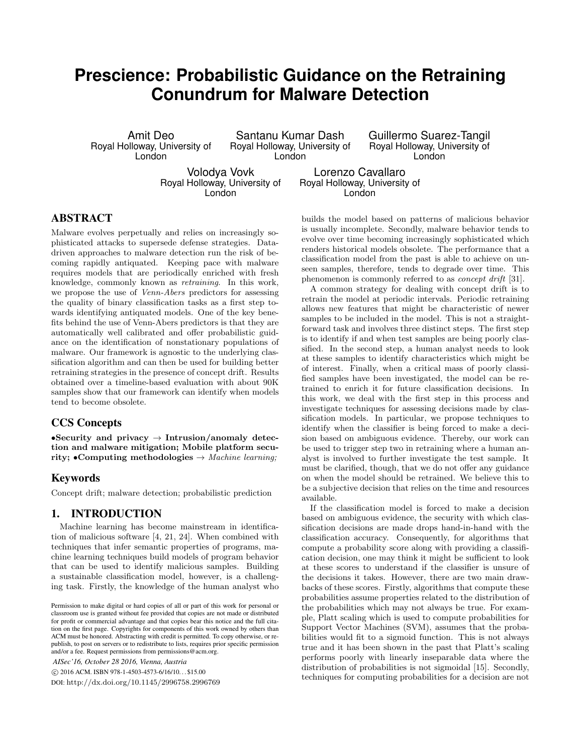# **Prescience: Probabilistic Guidance on the Retraining Conundrum for Malware Detection**

Amit Deo Royal Holloway, University of London

Santanu Kumar Dash Royal Holloway, University of London

Guillermo Suarez-Tangil Royal Holloway, University of London

Volodya Vovk Royal Holloway, University of London

Lorenzo Cavallaro Royal Holloway, University of London

# ABSTRACT

Malware evolves perpetually and relies on increasingly sophisticated attacks to supersede defense strategies. Datadriven approaches to malware detection run the risk of becoming rapidly antiquated. Keeping pace with malware requires models that are periodically enriched with fresh knowledge, commonly known as retraining. In this work, we propose the use of Venn-Abers predictors for assessing the quality of binary classification tasks as a first step towards identifying antiquated models. One of the key benefits behind the use of Venn-Abers predictors is that they are automatically well calibrated and offer probabilistic guidance on the identification of nonstationary populations of malware. Our framework is agnostic to the underlying classification algorithm and can then be used for building better retraining strategies in the presence of concept drift. Results obtained over a timeline-based evaluation with about 90K samples show that our framework can identify when models tend to become obsolete.

# CCS Concepts

•Security and privacy  $\rightarrow$  Intrusion/anomaly detection and malware mitigation; Mobile platform security; •Computing methodologies  $\rightarrow$  Machine learning;

## Keywords

Concept drift; malware detection; probabilistic prediction

# 1. INTRODUCTION

Machine learning has become mainstream in identification of malicious software [4, 21, 24]. When combined with techniques that infer semantic properties of programs, machine learning techniques build models of program behavior that can be used to identify malicious samples. Building a sustainable classification model, however, is a challenging task. Firstly, the knowledge of the human analyst who

*AISec'16, October 28 2016, Vienna, Austria*

c 2016 ACM. ISBN 978-1-4503-4573-6/16/10. . . \$15.00

DOI: http://dx.doi.org/10.1145/2996758.2996769

builds the model based on patterns of malicious behavior is usually incomplete. Secondly, malware behavior tends to evolve over time becoming increasingly sophisticated which renders historical models obsolete. The performance that a classification model from the past is able to achieve on unseen samples, therefore, tends to degrade over time. This phenomenon is commonly referred to as concept drift [31].

A common strategy for dealing with concept drift is to retrain the model at periodic intervals. Periodic retraining allows new features that might be characteristic of newer samples to be included in the model. This is not a straightforward task and involves three distinct steps. The first step is to identify if and when test samples are being poorly classified. In the second step, a human analyst needs to look at these samples to identify characteristics which might be of interest. Finally, when a critical mass of poorly classified samples have been investigated, the model can be retrained to enrich it for future classification decisions. In this work, we deal with the first step in this process and investigate techniques for assessing decisions made by classification models. In particular, we propose techniques to identify when the classifier is being forced to make a decision based on ambiguous evidence. Thereby, our work can be used to trigger step two in retraining where a human analyst is involved to further investigate the test sample. It must be clarified, though, that we do not offer any guidance on when the model should be retrained. We believe this to be a subjective decision that relies on the time and resources available.

If the classification model is forced to make a decision based on ambiguous evidence, the security with which classification decisions are made drops hand-in-hand with the classification accuracy. Consequently, for algorithms that compute a probability score along with providing a classification decision, one may think it might be sufficient to look at these scores to understand if the classifier is unsure of the decisions it takes. However, there are two main drawbacks of these scores. Firstly, algorithms that compute these probabilities assume properties related to the distribution of the probabilities which may not always be true. For example, Platt scaling which is used to compute probabilities for Support Vector Machines (SVM), assumes that the probabilities would fit to a sigmoid function. This is not always true and it has been shown in the past that Platt's scaling performs poorly with linearly inseparable data where the distribution of probabilities is not sigmoidal [15]. Secondly, techniques for computing probabilities for a decision are not

Permission to make digital or hard copies of all or part of this work for personal or classroom use is granted without fee provided that copies are not made or distributed for profit or commercial advantage and that copies bear this notice and the full citation on the first page. Copyrights for components of this work owned by others than ACM must be honored. Abstracting with credit is permitted. To copy otherwise, or republish, to post on servers or to redistribute to lists, requires prior specific permission and/or a fee. Request permissions from permissions@acm.org.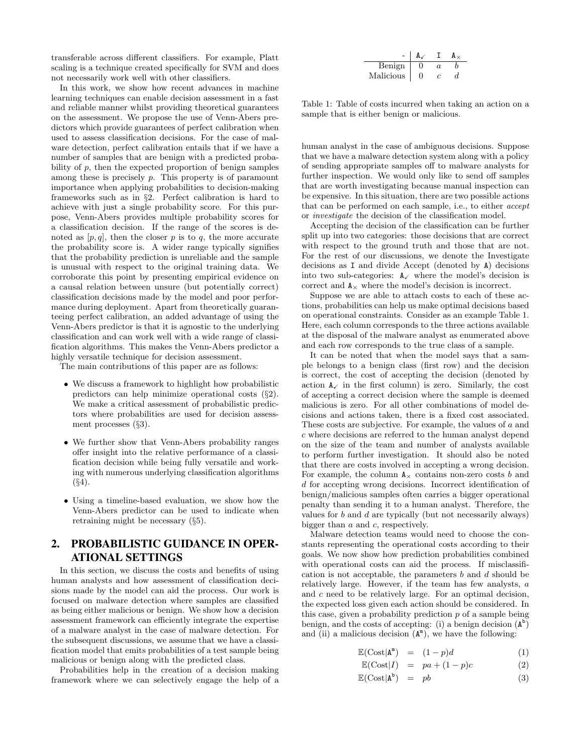transferable across different classifiers. For example, Platt scaling is a technique created specifically for SVM and does not necessarily work well with other classifiers.

In this work, we show how recent advances in machine learning techniques can enable decision assessment in a fast and reliable manner whilst providing theoretical guarantees on the assessment. We propose the use of Venn-Abers predictors which provide guarantees of perfect calibration when used to assess classification decisions. For the case of malware detection, perfect calibration entails that if we have a number of samples that are benign with a predicted probability of p, then the expected proportion of benign samples among these is precisely p. This property is of paramount importance when applying probabilities to decision-making frameworks such as in §2. Perfect calibration is hard to achieve with just a single probability score. For this purpose, Venn-Abers provides multiple probability scores for a classification decision. If the range of the scores is denoted as  $[p, q]$ , then the closer p is to q, the more accurate the probability score is. A wider range typically signifies that the probability prediction is unreliable and the sample is unusual with respect to the original training data. We corroborate this point by presenting empirical evidence on a causal relation between unsure (but potentially correct) classification decisions made by the model and poor performance during deployment. Apart from theoretically guaranteeing perfect calibration, an added advantage of using the Venn-Abers predictor is that it is agnostic to the underlying classification and can work well with a wide range of classification algorithms. This makes the Venn-Abers predictor a highly versatile technique for decision assessment.

The main contributions of this paper are as follows:

- We discuss a framework to highlight how probabilistic predictors can help minimize operational costs (§2). We make a critical assessment of probabilistic predictors where probabilities are used for decision assessment processes (§3).
- We further show that Venn-Abers probability ranges offer insight into the relative performance of a classification decision while being fully versatile and working with numerous underlying classification algorithms  $(§4).$
- Using a timeline-based evaluation, we show how the Venn-Abers predictor can be used to indicate when retraining might be necessary (§5).

# 2. PROBABILISTIC GUIDANCE IN OPER-ATIONAL SETTINGS

In this section, we discuss the costs and benefits of using human analysts and how assessment of classification decisions made by the model can aid the process. Our work is focused on malware detection where samples are classified as being either malicious or benign. We show how a decision assessment framework can efficiently integrate the expertise of a malware analyst in the case of malware detection. For the subsequent discussions, we assume that we have a classification model that emits probabilities of a test sample being malicious or benign along with the predicted class.

Probabilities help in the creation of a decision making framework where we can selectively engage the help of a

| Benign    | α |  |
|-----------|---|--|
| Malicious | c |  |

Table 1: Table of costs incurred when taking an action on a sample that is either benign or malicious.

human analyst in the case of ambiguous decisions. Suppose that we have a malware detection system along with a policy of sending appropriate samples off to malware analysts for further inspection. We would only like to send off samples that are worth investigating because manual inspection can be expensive. In this situation, there are two possible actions that can be performed on each sample, i.e., to either accept or investigate the decision of the classification model.

Accepting the decision of the classification can be further split up into two categories: those decisions that are correct with respect to the ground truth and those that are not. For the rest of our discussions, we denote the Investigate decisions as I and divide Accept (denoted by A) decisions into two sub-categories:  $A_{\checkmark}$  where the model's decision is correct and  $A_{\times}$  where the model's decision is incorrect.

Suppose we are able to attach costs to each of these actions, probabilities can help us make optimal decisions based on operational constraints. Consider as an example Table 1. Here, each column corresponds to the three actions available at the disposal of the malware analyst as enumerated above and each row corresponds to the true class of a sample.

It can be noted that when the model says that a sample belongs to a benign class (first row) and the decision is correct, the cost of accepting the decision (denoted by action  $A_{\checkmark}$  in the first column) is zero. Similarly, the cost of accepting a correct decision where the sample is deemed malicious is zero. For all other combinations of model decisions and actions taken, there is a fixed cost associated. These costs are subjective. For example, the values of a and c where decisions are referred to the human analyst depend on the size of the team and number of analysts available to perform further investigation. It should also be noted that there are costs involved in accepting a wrong decision. For example, the column  $A_{\times}$  contains non-zero costs b and d for accepting wrong decisions. Incorrect identification of benign/malicious samples often carries a bigger operational penalty than sending it to a human analyst. Therefore, the values for  $b$  and  $d$  are typically (but not necessarily always) bigger than a and c, respectively.

Malware detection teams would need to choose the constants representing the operational costs according to their goals. We now show how prediction probabilities combined with operational costs can aid the process. If misclassification is not acceptable, the parameters  $b$  and  $d$  should be relatively large. However, if the team has few analysts, a and c need to be relatively large. For an optimal decision, the expected loss given each action should be considered. In this case, given a probability prediction  $p$  of a sample being benign, and the costs of accepting: (i) a benign decision  $(A^b)$ and (ii) a malicious decision  $(A^m)$ , we have the following:

$$
\mathbb{E}(\text{Cost}|\mathbf{A}^{\mathbf{m}}) = (1-p)d \tag{1}
$$

$$
\mathbb{E}(\text{Cost}|I) = pa + (1-p)c \tag{2}
$$

$$
\mathbb{E}(\text{Cost}|\mathbf{A}^{\text{b}}) = pb \tag{3}
$$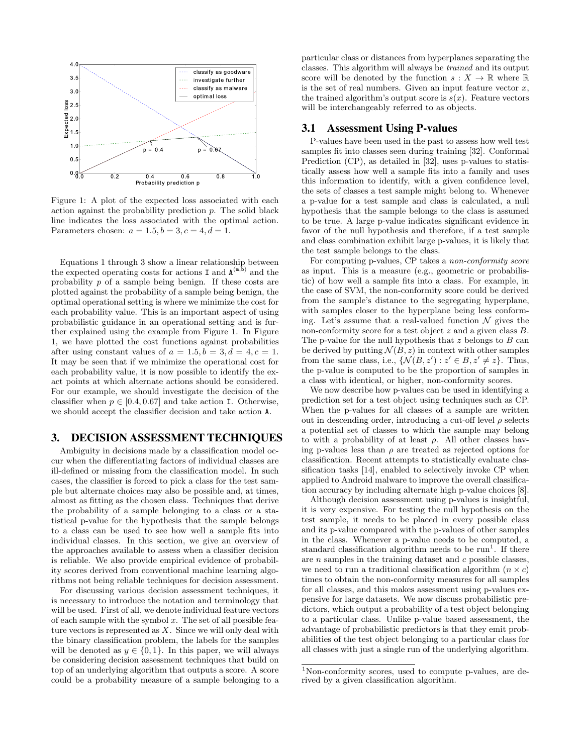

Figure 1: A plot of the expected loss associated with each action against the probability prediction  $p$ . The solid black line indicates the loss associated with the optimal action. Parameters chosen:  $a = 1.5, b = 3, c = 4, d = 1.$ 

Equations 1 through 3 show a linear relationship between the expected operating costs for actions I and  $A^{(m,b)}$  and the probability  $p$  of a sample being benign. If these costs are plotted against the probability of a sample being benign, the optimal operational setting is where we minimize the cost for each probability value. This is an important aspect of using probabilistic guidance in an operational setting and is further explained using the example from Figure 1. In Figure 1, we have plotted the cost functions against probabilities after using constant values of  $a = 1.5, b = 3, d = 4, c = 1$ . It may be seen that if we minimize the operational cost for each probability value, it is now possible to identify the exact points at which alternate actions should be considered. For our example, we should investigate the decision of the classifier when  $p \in [0.4, 0.67]$  and take action I. Otherwise, we should accept the classifier decision and take action A.

# 3. DECISION ASSESSMENT TECHNIQUES

Ambiguity in decisions made by a classification model occur when the differentiating factors of individual classes are ill-defined or missing from the classification model. In such cases, the classifier is forced to pick a class for the test sample but alternate choices may also be possible and, at times, almost as fitting as the chosen class. Techniques that derive the probability of a sample belonging to a class or a statistical p-value for the hypothesis that the sample belongs to a class can be used to see how well a sample fits into individual classes. In this section, we give an overview of the approaches available to assess when a classifier decision is reliable. We also provide empirical evidence of probability scores derived from conventional machine learning algorithms not being reliable techniques for decision assessment.

For discussing various decision assessment techniques, it is necessary to introduce the notation and terminology that will be used. First of all, we denote individual feature vectors of each sample with the symbol  $x$ . The set of all possible feature vectors is represented as  $X$ . Since we will only deal with the binary classification problem, the labels for the samples will be denoted as  $y \in \{0, 1\}$ . In this paper, we will always be considering decision assessment techniques that build on top of an underlying algorithm that outputs a score. A score could be a probability measure of a sample belonging to a particular class or distances from hyperplanes separating the classes. This algorithm will always be trained and its output score will be denoted by the function  $s: X \to \mathbb{R}$  where  $\mathbb{R}$ is the set of real numbers. Given an input feature vector  $x$ , the trained algorithm's output score is  $s(x)$ . Feature vectors will be interchangeably referred to as objects.

# 3.1 Assessment Using P-values

P-values have been used in the past to assess how well test samples fit into classes seen during training [32]. Conformal Prediction (CP), as detailed in [32], uses p-values to statistically assess how well a sample fits into a family and uses this information to identify, with a given confidence level, the sets of classes a test sample might belong to. Whenever a p-value for a test sample and class is calculated, a null hypothesis that the sample belongs to the class is assumed to be true. A large p-value indicates significant evidence in favor of the null hypothesis and therefore, if a test sample and class combination exhibit large p-values, it is likely that the test sample belongs to the class.

For computing p-values, CP takes a non-conformity score as input. This is a measure (e.g., geometric or probabilistic) of how well a sample fits into a class. For example, in the case of SVM, the non-conformity score could be derived from the sample's distance to the segregating hyperplane, with samples closer to the hyperplane being less conforming. Let's assume that a real-valued function  $\mathcal N$  gives the non-conformity score for a test object z and a given class B. The p-value for the null hypothesis that  $z$  belongs to  $B$  can be derived by putting  $\mathcal{N}(B, z)$  in context with other samples from the same class, i.e.,  $\{N(B, z'): z' \in B, z' \neq z\}$ . Thus, the p-value is computed to be the proportion of samples in a class with identical, or higher, non-conformity scores.

We now describe how p-values can be used in identifying a prediction set for a test object using techniques such as CP. When the p-values for all classes of a sample are written out in descending order, introducing a cut-off level  $\rho$  selects a potential set of classes to which the sample may belong to with a probability of at least  $\rho$ . All other classes having p-values less than  $\rho$  are treated as rejected options for classification. Recent attempts to statistically evaluate classification tasks [14], enabled to selectively invoke CP when applied to Android malware to improve the overall classification accuracy by including alternate high p-value choices [8].

Although decision assessment using p-values is insightful, it is very expensive. For testing the null hypothesis on the test sample, it needs to be placed in every possible class and its p-value compared with the p-values of other samples in the class. Whenever a p-value needs to be computed, a standard classification algorithm needs to be  $run<sup>1</sup>$ . If there are  $n$  samples in the training dataset and  $c$  possible classes, we need to run a traditional classification algorithm  $(n \times c)$ times to obtain the non-conformity measures for all samples for all classes, and this makes assessment using p-values expensive for large datasets. We now discuss probabilistic predictors, which output a probability of a test object belonging to a particular class. Unlike p-value based assessment, the advantage of probabilistic predictors is that they emit probabilities of the test object belonging to a particular class for all classes with just a single run of the underlying algorithm.

<sup>&</sup>lt;sup>1</sup>Non-conformity scores, used to compute p-values, are derived by a given classification algorithm.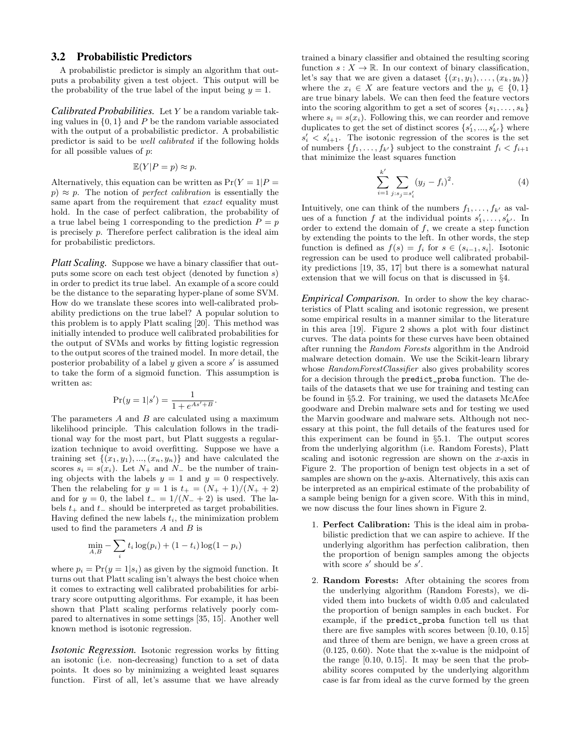## 3.2 Probabilistic Predictors

A probabilistic predictor is simply an algorithm that outputs a probability given a test object. This output will be the probability of the true label of the input being  $y = 1$ .

*Calibrated Probabilities.* Let Y be a random variable taking values in  $\{0,1\}$  and P be the random variable associated with the output of a probabilistic predictor. A probabilistic predictor is said to be well calibrated if the following holds for all possible values of p:

$$
\mathbb{E}(Y|P=p) \approx p.
$$

Alternatively, this equation can be written as  $Pr(Y = 1 | P =$  $p \geq p$ . The notion of *perfect calibration* is essentially the same apart from the requirement that *exact* equality must hold. In the case of perfect calibration, the probability of a true label being 1 corresponding to the prediction  $P = p$ is precisely p. Therefore perfect calibration is the ideal aim for probabilistic predictors.

*Platt Scaling.* Suppose we have a binary classifier that outputs some score on each test object (denoted by function s) in order to predict its true label. An example of a score could be the distance to the separating hyper-plane of some SVM. How do we translate these scores into well-calibrated probability predictions on the true label? A popular solution to this problem is to apply Platt scaling [20]. This method was initially intended to produce well calibrated probabilities for the output of SVMs and works by fitting logistic regression to the output scores of the trained model. In more detail, the posterior probability of a label  $y$  given a score  $s'$  is assumed to take the form of a sigmoid function. This assumption is written as:

$$
\Pr(y = 1 | s') = \frac{1}{1 + e^{As' + B}}
$$

.

The parameters  $A$  and  $B$  are calculated using a maximum likelihood principle. This calculation follows in the traditional way for the most part, but Platt suggests a regularization technique to avoid overfitting. Suppose we have a training set  $\{(x_1, y_1), ..., (x_n, y_n)\}\$ and have calculated the scores  $s_i = s(x_i)$ . Let  $N_+$  and  $N_-$  be the number of training objects with the labels  $y = 1$  and  $y = 0$  respectively. Then the relabeling for  $y = 1$  is  $t_{+} = (N_{+} + 1)/(N_{+} + 2)$ and for  $y = 0$ , the label  $t_ - = 1/(N_+ + 2)$  is used. The labels  $t_+$  and  $t_-$  should be interpreted as target probabilities. Having defined the new labels  $t_i$ , the minimization problem used to find the parameters  $A$  and  $B$  is

$$
\min_{A,B} - \sum_{i} t_i \log(p_i) + (1 - t_i) \log(1 - p_i)
$$

where  $p_i = Pr(y = 1|s_i)$  as given by the sigmoid function. It turns out that Platt scaling isn't always the best choice when it comes to extracting well calibrated probabilities for arbitrary score outputting algorithms. For example, it has been shown that Platt scaling performs relatively poorly compared to alternatives in some settings [35, 15]. Another well known method is isotonic regression.

*Isotonic Regression.* Isotonic regression works by fitting an isotonic (i.e. non-decreasing) function to a set of data points. It does so by minimizing a weighted least squares function. First of all, let's assume that we have already

trained a binary classifier and obtained the resulting scoring function  $s: X \to \mathbb{R}$ . In our context of binary classification, let's say that we are given a dataset  $\{(x_1, y_1), \ldots, (x_k, y_k)\}\$ where the  $x_i \in X$  are feature vectors and the  $y_i \in \{0,1\}$ are true binary labels. We can then feed the feature vectors into the scoring algorithm to get a set of scores  $\{s_1, \ldots, s_k\}$ where  $s_i = s(x_i)$ . Following this, we can reorder and remove duplicates to get the set of distinct scores  $\{s'_1,...,s'_{k'}\}$  where  $s_i' < s_{i+1}'$ . The isotonic regression of the scores is the set of numbers  $\{f_1, \ldots, f_{k'}\}$  subject to the constraint  $f_i < f_{i+1}$ that minimize the least squares function

$$
\sum_{i=1}^{k'} \sum_{j:s_j=s'_i} (y_j - f_i)^2.
$$
 (4)

Intuitively, one can think of the numbers  $f_1, \ldots, f_{k'}$  as values of a function f at the individual points  $s'_1, \ldots, s'_{k'}$ . In order to extend the domain of  $f$ , we create a step function by extending the points to the left. In other words, the step function is defined as  $f(s) = f_i$  for  $s \in (s_{i-1}, s_i]$ . Isotonic regression can be used to produce well calibrated probability predictions [19, 35, 17] but there is a somewhat natural extension that we will focus on that is discussed in §4.

*Empirical Comparison.* In order to show the key characteristics of Platt scaling and isotonic regression, we present some empirical results in a manner similar to the literature in this area [19]. Figure 2 shows a plot with four distinct curves. The data points for these curves have been obtained after running the Random Forests algorithm in the Android malware detection domain. We use the Scikit-learn library whose RandomForestClassifier also gives probability scores for a decision through the predict\_proba function. The details of the datasets that we use for training and testing can be found in §5.2. For training, we used the datasets McAfee goodware and Drebin malware sets and for testing we used the Marvin goodware and malware sets. Although not necessary at this point, the full details of the features used for this experiment can be found in §5.1. The output scores from the underlying algorithm (i.e. Random Forests), Platt scaling and isotonic regression are shown on the x-axis in Figure 2. The proportion of benign test objects in a set of samples are shown on the y-axis. Alternatively, this axis can be interpreted as an empirical estimate of the probability of a sample being benign for a given score. With this in mind, we now discuss the four lines shown in Figure 2.

- 1. Perfect Calibration: This is the ideal aim in probabilistic prediction that we can aspire to achieve. If the underlying algorithm has perfection calibration, then the proportion of benign samples among the objects with score  $s'$  should be  $s'$ .
- 2. Random Forests: After obtaining the scores from the underlying algorithm (Random Forests), we divided them into buckets of width 0.05 and calculated the proportion of benign samples in each bucket. For example, if the predict\_proba function tell us that there are five samples with scores between [0.10, 0.15] and three of them are benign, we have a green cross at (0.125, 0.60). Note that the x-value is the midpoint of the range [0.10, 0.15]. It may be seen that the probability scores computed by the underlying algorithm case is far from ideal as the curve formed by the green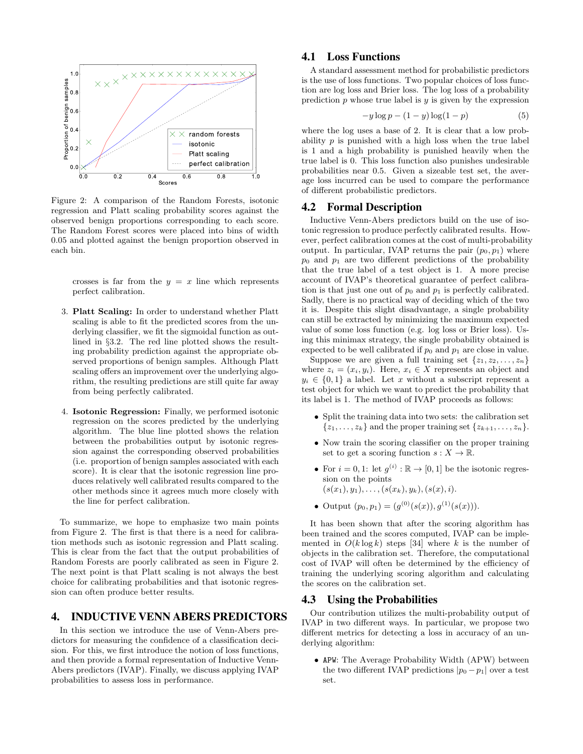

Figure 2: A comparison of the Random Forests, isotonic regression and Platt scaling probability scores against the observed benign proportions corresponding to each score. The Random Forest scores were placed into bins of width 0.05 and plotted against the benign proportion observed in each bin.

crosses is far from the  $y = x$  line which represents perfect calibration.

- 3. Platt Scaling: In order to understand whether Platt scaling is able to fit the predicted scores from the underlying classifier, we fit the sigmoidal function as outlined in §3.2. The red line plotted shows the resulting probability prediction against the appropriate observed proportions of benign samples. Although Platt scaling offers an improvement over the underlying algorithm, the resulting predictions are still quite far away from being perfectly calibrated.
- 4. Isotonic Regression: Finally, we performed isotonic regression on the scores predicted by the underlying algorithm. The blue line plotted shows the relation between the probabilities output by isotonic regression against the corresponding observed probabilities (i.e. proportion of benign samples associated with each score). It is clear that the isotonic regression line produces relatively well calibrated results compared to the other methods since it agrees much more closely with the line for perfect calibration.

To summarize, we hope to emphasize two main points from Figure 2. The first is that there is a need for calibration methods such as isotonic regression and Platt scaling. This is clear from the fact that the output probabilities of Random Forests are poorly calibrated as seen in Figure 2. The next point is that Platt scaling is not always the best choice for calibrating probabilities and that isotonic regression can often produce better results.

# 4. INDUCTIVE VENN ABERS PREDICTORS

In this section we introduce the use of Venn-Abers predictors for measuring the confidence of a classification decision. For this, we first introduce the notion of loss functions, and then provide a formal representation of Inductive Venn-Abers predictors (IVAP). Finally, we discuss applying IVAP probabilities to assess loss in performance.

# 4.1 Loss Functions

A standard assessment method for probabilistic predictors is the use of loss functions. Two popular choices of loss function are log loss and Brier loss. The log loss of a probability prediction  $p$  whose true label is  $y$  is given by the expression

$$
-y\log p - (1-y)\log(1-p) \tag{5}
$$

where the log uses a base of 2. It is clear that a low probability  $p$  is punished with a high loss when the true label is 1 and a high probability is punished heavily when the true label is 0. This loss function also punishes undesirable probabilities near 0.5. Given a sizeable test set, the average loss incurred can be used to compare the performance of different probabilistic predictors.

#### 4.2 Formal Description

Inductive Venn-Abers predictors build on the use of isotonic regression to produce perfectly calibrated results. However, perfect calibration comes at the cost of multi-probability output. In particular, IVAP returns the pair  $(p_0, p_1)$  where  $p_0$  and  $p_1$  are two different predictions of the probability that the true label of a test object is 1. A more precise account of IVAP's theoretical guarantee of perfect calibration is that just one out of  $p_0$  and  $p_1$  is perfectly calibrated. Sadly, there is no practical way of deciding which of the two it is. Despite this slight disadvantage, a single probability can still be extracted by minimizing the maximum expected value of some loss function (e.g. log loss or Brier loss). Using this minimax strategy, the single probability obtained is expected to be well calibrated if  $p_0$  and  $p_1$  are close in value.

Suppose we are given a full training set  $\{z_1, z_2, \ldots, z_n\}$ where  $z_i = (x_i, y_i)$ . Here,  $x_i \in X$  represents an object and  $y_i \in \{0,1\}$  a label. Let x without a subscript represent a test object for which we want to predict the probability that its label is 1. The method of IVAP proceeds as follows:

- Split the training data into two sets: the calibration set  $\{z_1, \ldots, z_k\}$  and the proper training set  $\{z_{k+1}, \ldots, z_n\}.$
- Now train the scoring classifier on the proper training set to get a scoring function  $s: X \to \mathbb{R}$ .
- For  $i = 0, 1$ : let  $g^{(i)} : \mathbb{R} \to [0, 1]$  be the isotonic regression on the points  $(s(x_1), y_1), \ldots, (s(x_k), y_k), (s(x), i).$
- Output  $(p_0, p_1) = (g^{(0)}(s(x)), g^{(1)}(s(x))).$

It has been shown that after the scoring algorithm has been trained and the scores computed, IVAP can be implemented in  $O(k \log k)$  steps [34] where k is the number of objects in the calibration set. Therefore, the computational cost of IVAP will often be determined by the efficiency of training the underlying scoring algorithm and calculating the scores on the calibration set.

#### 4.3 Using the Probabilities

Our contribution utilizes the multi-probability output of IVAP in two different ways. In particular, we propose two different metrics for detecting a loss in accuracy of an underlying algorithm:

• APW: The Average Probability Width (APW) between the two different IVAP predictions  $|p_0 - p_1|$  over a test set.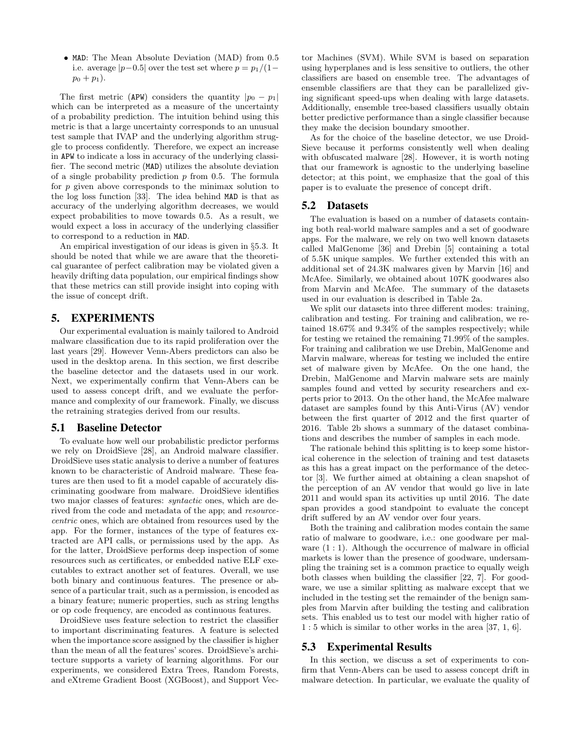• MAD: The Mean Absolute Deviation (MAD) from 0.5 i.e. average  $|p-0.5|$  over the test set where  $p = p_1/(1-\epsilon)$  $p_0 + p_1$ ).

The first metric (APW) considers the quantity  $|p_0 - p_1|$ which can be interpreted as a measure of the uncertainty of a probability prediction. The intuition behind using this metric is that a large uncertainty corresponds to an unusual test sample that IVAP and the underlying algorithm struggle to process confidently. Therefore, we expect an increase in APW to indicate a loss in accuracy of the underlying classifier. The second metric (MAD) utilizes the absolute deviation of a single probability prediction  $p$  from 0.5. The formula for  $p$  given above corresponds to the minimax solution to the log loss function [33]. The idea behind MAD is that as accuracy of the underlying algorithm decreases, we would expect probabilities to move towards 0.5. As a result, we would expect a loss in accuracy of the underlying classifier to correspond to a reduction in MAD.

An empirical investigation of our ideas is given in §5.3. It should be noted that while we are aware that the theoretical guarantee of perfect calibration may be violated given a heavily drifting data population, our empirical findings show that these metrics can still provide insight into coping with the issue of concept drift.

### 5. EXPERIMENTS

Our experimental evaluation is mainly tailored to Android malware classification due to its rapid proliferation over the last years [29]. However Venn-Abers predictors can also be used in the desktop arena. In this section, we first describe the baseline detector and the datasets used in our work. Next, we experimentally confirm that Venn-Abers can be used to assess concept drift, and we evaluate the performance and complexity of our framework. Finally, we discuss the retraining strategies derived from our results.

#### 5.1 Baseline Detector

To evaluate how well our probabilistic predictor performs we rely on DroidSieve [28], an Android malware classifier. DroidSieve uses static analysis to derive a number of features known to be characteristic of Android malware. These features are then used to fit a model capable of accurately discriminating goodware from malware. DroidSieve identifies two major classes of features: syntactic ones, which are derived from the code and metadata of the app; and resourcecentric ones, which are obtained from resources used by the app. For the former, instances of the type of features extracted are API calls, or permissions used by the app. As for the latter, DroidSieve performs deep inspection of some resources such as certificates, or embedded native ELF executables to extract another set of features. Overall, we use both binary and continuous features. The presence or absence of a particular trait, such as a permission, is encoded as a binary feature; numeric properties, such as string lengths or op code frequency, are encoded as continuous features.

DroidSieve uses feature selection to restrict the classifier to important discriminating features. A feature is selected when the importance score assigned by the classifier is higher than the mean of all the features' scores. DroidSieve's architecture supports a variety of learning algorithms. For our experiments, we considered Extra Trees, Random Forests, and eXtreme Gradient Boost (XGBoost), and Support Vector Machines (SVM). While SVM is based on separation using hyperplanes and is less sensitive to outliers, the other classifiers are based on ensemble tree. The advantages of ensemble classifiers are that they can be parallelized giving significant speed-ups when dealing with large datasets. Additionally, ensemble tree-based classifiers usually obtain better predictive performance than a single classifier because they make the decision boundary smoother.

As for the choice of the baseline detector, we use Droid-Sieve because it performs consistently well when dealing with obfuscated malware [28]. However, it is worth noting that our framework is agnostic to the underlying baseline detector; at this point, we emphasize that the goal of this paper is to evaluate the presence of concept drift.

#### 5.2 Datasets

The evaluation is based on a number of datasets containing both real-world malware samples and a set of goodware apps. For the malware, we rely on two well known datasets called MalGenome [36] and Drebin [5] containing a total of 5.5K unique samples. We further extended this with an additional set of 24.3K malwares given by Marvin [16] and McAfee. Similarly, we obtained about 107K goodwares also from Marvin and McAfee. The summary of the datasets used in our evaluation is described in Table 2a.

We split our datasets into three different modes: training, calibration and testing. For training and calibration, we retained 18.67% and 9.34% of the samples respectively; while for testing we retained the remaining 71.99% of the samples. For training and calibration we use Drebin, MalGenome and Marvin malware, whereas for testing we included the entire set of malware given by McAfee. On the one hand, the Drebin, MalGenome and Marvin malware sets are mainly samples found and vetted by security researchers and experts prior to 2013. On the other hand, the McAfee malware dataset are samples found by this Anti-Virus (AV) vendor between the first quarter of 2012 and the first quarter of 2016. Table 2b shows a summary of the dataset combinations and describes the number of samples in each mode.

The rationale behind this splitting is to keep some historical coherence in the selection of training and test datasets as this has a great impact on the performance of the detector [3]. We further aimed at obtaining a clean snapshot of the perception of an AV vendor that would go live in late 2011 and would span its activities up until 2016. The date span provides a good standpoint to evaluate the concept drift suffered by an AV vendor over four years.

Both the training and calibration modes contain the same ratio of malware to goodware, i.e.: one goodware per malware  $(1:1)$ . Although the occurrence of malware in official markets is lower than the presence of goodware, undersampling the training set is a common practice to equally weigh both classes when building the classifier [22, 7]. For goodware, we use a similar splitting as malware except that we included in the testing set the remainder of the benign samples from Marvin after building the testing and calibration sets. This enabled us to test our model with higher ratio of 1 : 5 which is similar to other works in the area [37, 1, 6].

#### 5.3 Experimental Results

In this section, we discuss a set of experiments to confirm that Venn-Abers can be used to assess concept drift in malware detection. In particular, we evaluate the quality of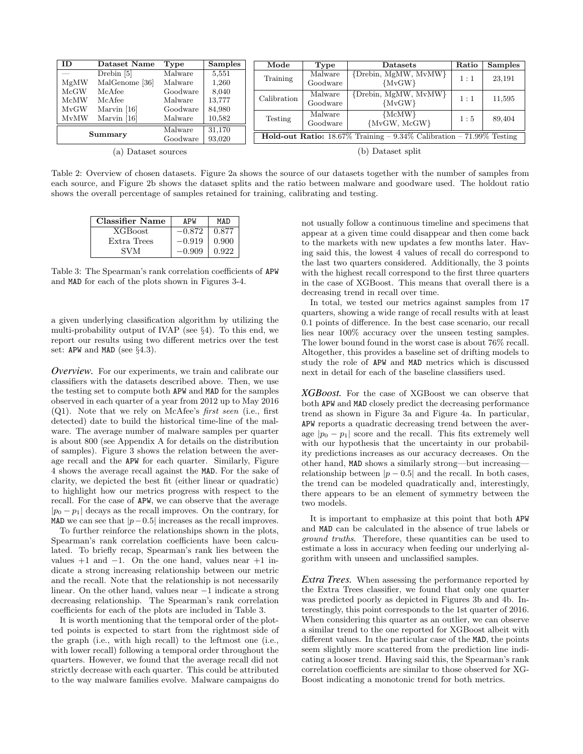| ID                   | Dataset Name                    | Type                            | <b>Samples</b>            | Mode                                                                            | Type                | Datasets                           | Ratio | Samples |
|----------------------|---------------------------------|---------------------------------|---------------------------|---------------------------------------------------------------------------------|---------------------|------------------------------------|-------|---------|
| MgMW                 | Drebin $[5]$<br>MalGenome [36]  | Malware<br>Malware              | 5,551<br>1,260            | Training                                                                        | Malware<br>Goodware | {Drebin, MgMW, MvMW}<br>{MvGW}     | 1:1   | 23,191  |
| McGW<br>McMW<br>MvGW | McAfee<br>McAfee<br>Marvin [16] | Goodware<br>Malware<br>Goodware | 8,040<br>13.777<br>84,980 | Calibration                                                                     | Malware<br>Goodware | {Drebin, MgMW, MvMW}<br>$\{MvGW\}$ | 1:1   | 11,595  |
| MvMW                 | Marvin [16]                     | Malware<br>Malware              | 10,582<br>31.170          | Testing                                                                         | Malware<br>Goodware | {McMW}<br>{MvGW, McGW}             | 1:5   | 89,404  |
|                      | Summary                         | Goodware                        | 93.020                    | <b>Hold-out Ratio:</b> 18.67% Training $-9.34\%$ Calibration $-71.99\%$ Testing |                     |                                    |       |         |
| (a) Dataset sources  |                                 |                                 | (b) Dataset split         |                                                                                 |                     |                                    |       |         |

Table 2: Overview of chosen datasets. Figure 2a shows the source of our datasets together with the number of samples from each source, and Figure 2b shows the dataset splits and the ratio between malware and goodware used. The holdout ratio shows the overall percentage of samples retained for training, calibrating and testing.

| <b>Classifier Name</b> | APW      | MAD   |
|------------------------|----------|-------|
| XGBoost                | $-0.872$ | 0.877 |
| Extra Trees            | $-0.919$ | 0.900 |
| SVM                    | $-0.909$ | 0.922 |

Table 3: The Spearman's rank correlation coefficients of APW and MAD for each of the plots shown in Figures 3-4.

a given underlying classification algorithm by utilizing the multi-probability output of IVAP (see §4). To this end, we report our results using two different metrics over the test set: APW and MAD (see §4.3).

*Overview.* For our experiments, we train and calibrate our classifiers with the datasets described above. Then, we use the testing set to compute both APW and MAD for the samples observed in each quarter of a year from 2012 up to May 2016 (Q1). Note that we rely on McAfee's first seen (i.e., first detected) date to build the historical time-line of the malware. The average number of malware samples per quarter is about 800 (see Appendix A for details on the distribution of samples). Figure 3 shows the relation between the average recall and the APW for each quarter. Similarly, Figure 4 shows the average recall against the MAD. For the sake of clarity, we depicted the best fit (either linear or quadratic) to highlight how our metrics progress with respect to the recall. For the case of APW, we can observe that the average  $|p_0 - p_1|$  decays as the recall improves. On the contrary, for MAD we can see that  $|p-0.5|$  increases as the recall improves.

To further reinforce the relationships shown in the plots, Spearman's rank correlation coefficients have been calculated. To briefly recap, Spearman's rank lies between the values  $+1$  and  $-1$ . On the one hand, values near  $+1$  indicate a strong increasing relationship between our metric and the recall. Note that the relationship is not necessarily linear. On the other hand, values near −1 indicate a strong decreasing relationship. The Spearman's rank correlation coefficients for each of the plots are included in Table 3.

It is worth mentioning that the temporal order of the plotted points is expected to start from the rightmost side of the graph (i.e., with high recall) to the leftmost one (i.e., with lower recall) following a temporal order throughout the quarters. However, we found that the average recall did not strictly decrease with each quarter. This could be attributed to the way malware families evolve. Malware campaigns do not usually follow a continuous timeline and specimens that appear at a given time could disappear and then come back to the markets with new updates a few months later. Having said this, the lowest 4 values of recall do correspond to the last two quarters considered. Additionally, the 3 points with the highest recall correspond to the first three quarters in the case of XGBoost. This means that overall there is a decreasing trend in recall over time.

In total, we tested our metrics against samples from 17 quarters, showing a wide range of recall results with at least 0.1 points of difference. In the best case scenario, our recall lies near 100% accuracy over the unseen testing samples. The lower bound found in the worst case is about 76% recall. Altogether, this provides a baseline set of drifting models to study the role of APW and MAD metrics which is discussed next in detail for each of the baseline classifiers used.

*XGBoost.* For the case of XGBoost we can observe that both APW and MAD closely predict the decreasing performance trend as shown in Figure 3a and Figure 4a. In particular, APW reports a quadratic decreasing trend between the average  $|p_0 - p_1|$  score and the recall. This fits extremely well with our hypothesis that the uncertainty in our probability predictions increases as our accuracy decreases. On the other hand, MAD shows a similarly strong—but increasing relationship between  $|p - 0.5|$  and the recall. In both cases, the trend can be modeled quadratically and, interestingly, there appears to be an element of symmetry between the two models.

It is important to emphasize at this point that both APW and MAD can be calculated in the absence of true labels or ground truths. Therefore, these quantities can be used to estimate a loss in accuracy when feeding our underlying algorithm with unseen and unclassified samples.

*Extra Trees.* When assessing the performance reported by the Extra Trees classifier, we found that only one quarter was predicted poorly as depicted in Figures 3b and 4b. Interestingly, this point corresponds to the 1st quarter of 2016. When considering this quarter as an outlier, we can observe a similar trend to the one reported for XGBoost albeit with different values. In the particular case of the MAD, the points seem slightly more scattered from the prediction line indicating a looser trend. Having said this, the Spearman's rank correlation coefficients are similar to those observed for XG-Boost indicating a monotonic trend for both metrics.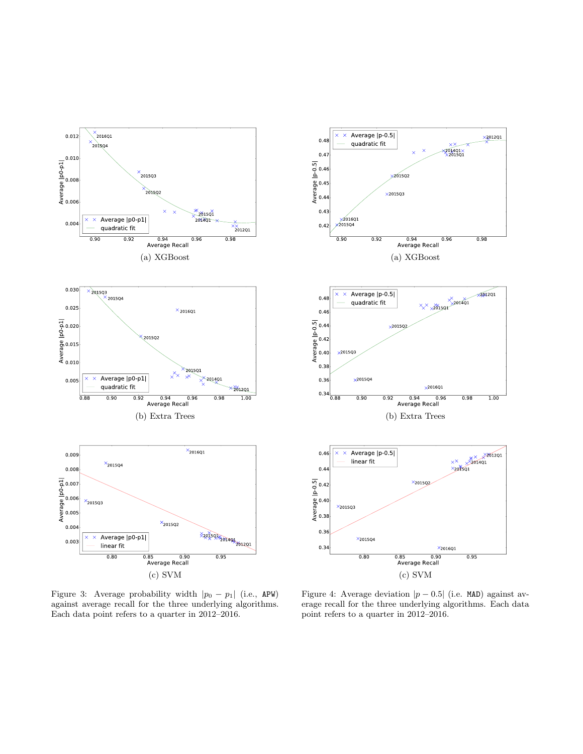

Figure 3: Average probability width  $|p_0 - p_1|$  (i.e., APW) against average recall for the three underlying algorithms. Each data point refers to a quarter in 2012–2016.



Figure 4: Average deviation  $|p - 0.5|$  (i.e. MAD) against average recall for the three underlying algorithms. Each data point refers to a quarter in 2012–2016.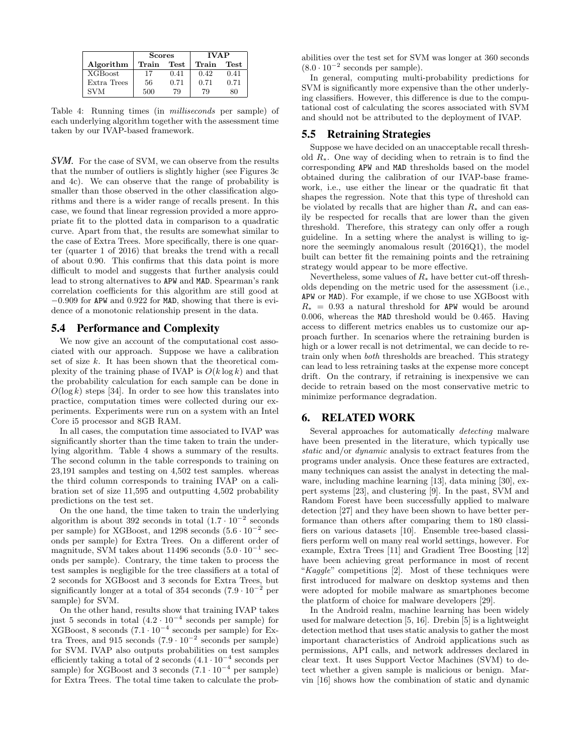|                | <b>Scores</b> |             | <b>IVAP</b> |      |
|----------------|---------------|-------------|-------------|------|
| Algorithm      | Train         | <b>Test</b> | Train       | Test |
| <b>XGBoost</b> | 17            | 0.41        | 0.42        | 0.41 |
| Extra Trees    | 56            | 0.71        | 0.71        | 0.71 |
| <b>SVM</b>     | 500           | 79.         | 79          | 80   |

Table 4: Running times (in milliseconds per sample) of each underlying algorithm together with the assessment time taken by our IVAP-based framework.

*SVM.* For the case of SVM, we can observe from the results that the number of outliers is slightly higher (see Figures 3c and 4c). We can observe that the range of probability is smaller than those observed in the other classification algorithms and there is a wider range of recalls present. In this case, we found that linear regression provided a more appropriate fit to the plotted data in comparison to a quadratic curve. Apart from that, the results are somewhat similar to the case of Extra Trees. More specifically, there is one quarter (quarter 1 of 2016) that breaks the trend with a recall of about 0.90. This confirms that this data point is more difficult to model and suggests that further analysis could lead to strong alternatives to APW and MAD. Spearman's rank correlation coefficients for this algorithm are still good at −0.909 for APW and 0.922 for MAD, showing that there is evidence of a monotonic relationship present in the data.

## 5.4 Performance and Complexity

We now give an account of the computational cost associated with our approach. Suppose we have a calibration set of size  $k$ . It has been shown that the theoretical complexity of the training phase of IVAP is  $O(k \log k)$  and that the probability calculation for each sample can be done in  $O(\log k)$  steps [34]. In order to see how this translates into practice, computation times were collected during our experiments. Experiments were run on a system with an Intel Core i5 processor and 8GB RAM.

In all cases, the computation time associated to IVAP was significantly shorter than the time taken to train the underlying algorithm. Table 4 shows a summary of the results. The second column in the table corresponds to training on 23,191 samples and testing on 4,502 test samples. whereas the third column corresponds to training IVAP on a calibration set of size 11,595 and outputting 4,502 probability predictions on the test set.

On the one hand, the time taken to train the underlying algorithm is about 392 seconds in total  $(1.7 \cdot 10^{-2} \text{ seconds})$ per sample) for XGBoost, and 1298 seconds  $(5.6 \cdot 10^{-2} \text{ sec}$ onds per sample) for Extra Trees. On a different order of magnitude, SVM takes about 11496 seconds  $(5.0 \cdot 10^{-1} \text{ sec}$ onds per sample). Contrary, the time taken to process the test samples is negligible for the tree classifiers at a total of 2 seconds for XGBoost and 3 seconds for Extra Trees, but significantly longer at a total of 354 seconds  $(7.9 \cdot 10^{-2} \text{ per})$ sample) for SVM.

On the other hand, results show that training IVAP takes just 5 seconds in total  $(4.2 \cdot 10^{-4}$  seconds per sample) for XGBoost, 8 seconds  $(7.1 \cdot 10^{-4}$  seconds per sample) for Extra Trees, and 915 seconds (7.9 ·  $10^{-2}$  seconds per sample) for SVM. IVAP also outputs probabilities on test samples efficiently taking a total of 2 seconds  $(4.1 \cdot 10^{-4}$  seconds per sample) for XGBoost and 3 seconds  $(7.1 \cdot 10^{-4} \text{ per sample})$ for Extra Trees. The total time taken to calculate the probabilities over the test set for SVM was longer at 360 seconds  $(8.0 \cdot 10^{-2}$  seconds per sample).

In general, computing multi-probability predictions for SVM is significantly more expensive than the other underlying classifiers. However, this difference is due to the computational cost of calculating the scores associated with SVM and should not be attributed to the deployment of IVAP.

## 5.5 Retraining Strategies

Suppose we have decided on an unacceptable recall threshold R∗. One way of deciding when to retrain is to find the corresponding APW and MAD thresholds based on the model obtained during the calibration of our IVAP-base framework, i.e., use either the linear or the quadratic fit that shapes the regression. Note that this type of threshold can be violated by recalls that are higher than  $R_*$  and can easily be respected for recalls that are lower than the given threshold. Therefore, this strategy can only offer a rough guideline. In a setting where the analyst is willing to ignore the seemingly anomalous result (2016Q1), the model built can better fit the remaining points and the retraining strategy would appear to be more effective.

Nevertheless, some values of  $R_*$  have better cut-off thresholds depending on the metric used for the assessment (i.e., APW or MAD). For example, if we chose to use XGBoost with  $R_* = 0.93$  a natural threshold for APW would be around 0.006, whereas the MAD threshold would be 0.465. Having access to different metrics enables us to customize our approach further. In scenarios where the retraining burden is high or a lower recall is not detrimental, we can decide to retrain only when both thresholds are breached. This strategy can lead to less retraining tasks at the expense more concept drift. On the contrary, if retraining is inexpensive we can decide to retrain based on the most conservative metric to minimize performance degradation.

# 6. RELATED WORK

Several approaches for automatically detecting malware have been presented in the literature, which typically use static and/or dynamic analysis to extract features from the programs under analysis. Once these features are extracted, many techniques can assist the analyst in detecting the malware, including machine learning [13], data mining [30], expert systems [23], and clustering [9]. In the past, SVM and Random Forest have been successfully applied to malware detection [27] and they have been shown to have better performance than others after comparing them to 180 classifiers on various datasets [10]. Ensemble tree-based classifiers perform well on many real world settings, however. For example, Extra Trees [11] and Gradient Tree Boosting [12] have been achieving great performance in most of recent "Kaggle" competitions  $[2]$ . Most of these techniques were first introduced for malware on desktop systems and then were adopted for mobile malware as smartphones become the platform of choice for malware developers [29].

In the Android realm, machine learning has been widely used for malware detection [5, 16]. Drebin [5] is a lightweight detection method that uses static analysis to gather the most important characteristics of Android applications such as permissions, API calls, and network addresses declared in clear text. It uses Support Vector Machines (SVM) to detect whether a given sample is malicious or benign. Marvin [16] shows how the combination of static and dynamic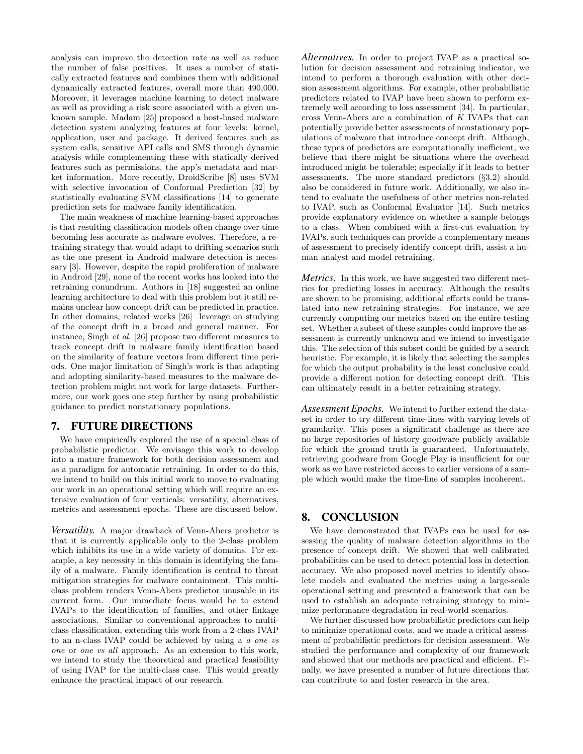analysis can improve the detection rate as well as reduce the number of false positives. It uses a number of statically extracted features and combines them with additional dynamically extracted features, overall more than 490,000. Moreover, it leverages machine learning to detect malware as well as providing a risk score associated with a given unknown sample. Madam [25] proposed a host-based malware detection system analyzing features at four levels: kernel, application, user and package. It derived features such as system calls, sensitive API calls and SMS through dynamic analysis while complementing these with statically derived features such as permissions, the app's metadata and market information. More recently, DroidScribe [8] uses SVM with selective invocation of Conformal Prediction [32] by statistically evaluating SVM classifications [14] to generate prediction sets for malware family identification.

The main weakness of machine learning-based approaches is that resulting classification models often change over time becoming less accurate as malware evolves. Therefore, a retraining strategy that would adapt to drifting scenarios such as the one present in Android malware detection is necessary [3]. However, despite the rapid proliferation of malware in Android [29], none of the recent works has looked into the retraining conundrum. Authors in [18] suggested an online learning architecture to deal with this problem but it still remains unclear how concept drift can be predicted in practice. In other domains, related works [26] leverage on studying of the concept drift in a broad and general manner. For instance, Singh et al. [26] propose two different measures to track concept drift in malware family identification based on the similarity of feature vectors from different time periods. One major limitation of Singh's work is that adapting and adopting similarity-based measures to the malware detection problem might not work for large datasets. Furthermore, our work goes one step further by using probabilistic guidance to predict nonstationary populations.

# 7. FUTURE DIRECTIONS

We have empirically explored the use of a special class of probabilistic predictor. We envisage this work to develop into a mature framework for both decision assessment and as a paradigm for automatic retraining. In order to do this, we intend to build on this initial work to move to evaluating our work in an operational setting which will require an extensive evaluation of four verticals: versatility, alternatives, metrics and assessment epochs. These are discussed below.

*Versatility.* A major drawback of Venn-Abers predictor is that it is currently applicable only to the 2-class problem which inhibits its use in a wide variety of domains. For example, a key necessity in this domain is identifying the family of a malware. Family identification is central to threat mitigation strategies for malware containment. This multiclass problem renders Venn-Abers predictor unusable in its current form. Our immediate focus would be to extend IVAPs to the identification of families, and other linkage associations. Similar to conventional approaches to multiclass classification, extending this work from a 2-class IVAP to an n-class IVAP could be achieved by using a a one vs one or one vs all approach. As an extension to this work, we intend to study the theoretical and practical feasibility of using IVAP for the multi-class case. This would greatly enhance the practical impact of our research.

*Alternatives.* In order to project IVAP as a practical solution for decision assessment and retraining indicator, we intend to perform a thorough evaluation with other decision assessment algorithms. For example, other probabilistic predictors related to IVAP have been shown to perform extremely well according to loss assessment [34]. In particular, cross Venn-Abers are a combination of K IVAPs that can potentially provide better assessments of nonstationary populations of malware that introduce concept drift. Although, these types of predictors are computationally inefficient, we believe that there might be situations where the overhead introduced might be tolerable; especially if it leads to better assessments. The more standard predictors (§3.2) should also be considered in future work. Additionally, we also intend to evaluate the usefulness of other metrics non-related to IVAP, such as Conformal Evaluator [14]. Such metrics provide explanatory evidence on whether a sample belongs to a class. When combined with a first-cut evaluation by IVAPs, such techniques can provide a complementary means of assessment to precisely identify concept drift, assist a human analyst and model retraining.

*Metrics.* In this work, we have suggested two different metrics for predicting losses in accuracy. Although the results are shown to be promising, additional efforts could be translated into new retraining strategies. For instance, we are currently computing our metrics based on the entire testing set. Whether a subset of these samples could improve the assessment is currently unknown and we intend to investigate this. The selection of this subset could be guided by a search heuristic. For example, it is likely that selecting the samples for which the output probability is the least conclusive could provide a different notion for detecting concept drift. This can ultimately result in a better retraining strategy.

*Assessment Epochs.* We intend to further extend the dataset in order to try different time-lines with varying levels of granularity. This poses a significant challenge as there are no large repositories of history goodware publicly available for which the ground truth is guaranteed. Unfortunately, retrieving goodware from Google Play is insufficient for our work as we have restricted access to earlier versions of a sample which would make the time-line of samples incoherent.

# 8. CONCLUSION

We have demonstrated that IVAPs can be used for assessing the quality of malware detection algorithms in the presence of concept drift. We showed that well calibrated probabilities can be used to detect potential loss in detection accuracy. We also proposed novel metrics to identify obsolete models and evaluated the metrics using a large-scale operational setting and presented a framework that can be used to establish an adequate retraining strategy to minimize performance degradation in real-world scenarios.

We further discussed how probabilistic predictors can help to minimize operational costs, and we made a critical assessment of probabilistic predictors for decision assessment. We studied the performance and complexity of our framework and showed that our methods are practical and efficient. Finally, we have presented a number of future directions that can contribute to and foster research in the area.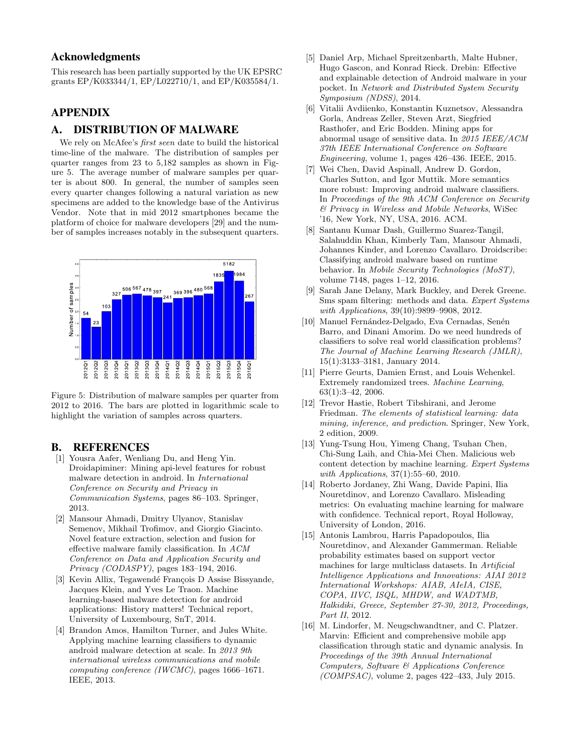# Acknowledgments

This research has been partially supported by the UK EPSRC grants EP/K033344/1, EP/L022710/1, and EP/K035584/1.

# APPENDIX

# A. DISTRIBUTION OF MALWARE

We rely on McAfee's first seen date to build the historical time-line of the malware. The distribution of samples per quarter ranges from 23 to 5,182 samples as shown in Figure 5. The average number of malware samples per quarter is about 800. In general, the number of samples seen every quarter changes following a natural variation as new specimens are added to the knowledge base of the Antivirus Vendor. Note that in mid 2012 smartphones became the platform of choice for malware developers [29] and the number of samples increases notably in the subsequent quarters.



Figure 5: Distribution of malware samples per quarter from 2012 to 2016. The bars are plotted in logarithmic scale to highlight the variation of samples across quarters.

## B. REFERENCES

- [1] Yousra Aafer, Wenliang Du, and Heng Yin. Droidapiminer: Mining api-level features for robust malware detection in android. In International Conference on Security and Privacy in Communication Systems, pages 86–103. Springer, 2013.
- [2] Mansour Ahmadi, Dmitry Ulyanov, Stanislav Semenov, Mikhail Trofimov, and Giorgio Giacinto. Novel feature extraction, selection and fusion for effective malware family classification. In ACM Conference on Data and Application Security and Privacy (CODASPY), pages 183–194, 2016.
- [3] Kevin Allix, Tegawendé François D Assise Bissyande, Jacques Klein, and Yves Le Traon. Machine learning-based malware detection for android applications: History matters! Technical report, University of Luxembourg, SnT, 2014.
- [4] Brandon Amos, Hamilton Turner, and Jules White. Applying machine learning classifiers to dynamic android malware detection at scale. In 2013 9th international wireless communications and mobile computing conference (IWCMC), pages 1666–1671. IEEE, 2013.
- [5] Daniel Arp, Michael Spreitzenbarth, Malte Hubner, Hugo Gascon, and Konrad Rieck. Drebin: Effective and explainable detection of Android malware in your pocket. In Network and Distributed System Security Symposium (NDSS), 2014.
- [6] Vitalii Avdiienko, Konstantin Kuznetsov, Alessandra Gorla, Andreas Zeller, Steven Arzt, Siegfried Rasthofer, and Eric Bodden. Mining apps for abnormal usage of sensitive data. In 2015 IEEE/ACM 37th IEEE International Conference on Software Engineering, volume 1, pages 426–436. IEEE, 2015.
- [7] Wei Chen, David Aspinall, Andrew D. Gordon, Charles Sutton, and Igor Muttik. More semantics more robust: Improving android malware classifiers. In Proceedings of the 9th ACM Conference on Security & Privacy in Wireless and Mobile Networks, WiSec '16, New York, NY, USA, 2016. ACM.
- [8] Santanu Kumar Dash, Guillermo Suarez-Tangil, Salahuddin Khan, Kimberly Tam, Mansour Ahmadi, Johannes Kinder, and Lorenzo Cavallaro. Droidscribe: Classifying android malware based on runtime behavior. In Mobile Security Technologies (MoST), volume 7148, pages 1–12, 2016.
- [9] Sarah Jane Delany, Mark Buckley, and Derek Greene. Sms spam filtering: methods and data. Expert Systems with Applications, 39(10):9899-9908, 2012.
- [10] Manuel Fernández-Delgado, Eva Cernadas, Senén Barro, and Dinani Amorim. Do we need hundreds of classifiers to solve real world classification problems? The Journal of Machine Learning Research (JMLR), 15(1):3133–3181, January 2014.
- [11] Pierre Geurts, Damien Ernst, and Louis Wehenkel. Extremely randomized trees. Machine Learning, 63(1):3–42, 2006.
- [12] Trevor Hastie, Robert Tibshirani, and Jerome Friedman. The elements of statistical learning: data mining, inference, and prediction. Springer, New York, 2 edition, 2009.
- [13] Yung-Tsung Hou, Yimeng Chang, Tsuhan Chen, Chi-Sung Laih, and Chia-Mei Chen. Malicious web content detection by machine learning. Expert Systems with Applications, 37(1):55–60, 2010.
- [14] Roberto Jordaney, Zhi Wang, Davide Papini, Ilia Nouretdinov, and Lorenzo Cavallaro. Misleading metrics: On evaluating machine learning for malware with confidence. Technical report, Royal Holloway, University of London, 2016.
- [15] Antonis Lambrou, Harris Papadopoulos, Ilia Nouretdinov, and Alexander Gammerman. Reliable probability estimates based on support vector machines for large multiclass datasets. In Artificial Intelligence Applications and Innovations: AIAI 2012 International Workshops: AIAB, AIeIA, CISE, COPA, IIVC, ISQL, MHDW, and WADTMB, Halkidiki, Greece, September 27-30, 2012, Proceedings, Part II, 2012.
- [16] M. Lindorfer, M. Neugschwandtner, and C. Platzer. Marvin: Efficient and comprehensive mobile app classification through static and dynamic analysis. In Proceedings of the 39th Annual International Computers, Software & Applications Conference  $(COMPSAC)$ , volume 2, pages 422–433, July 2015.